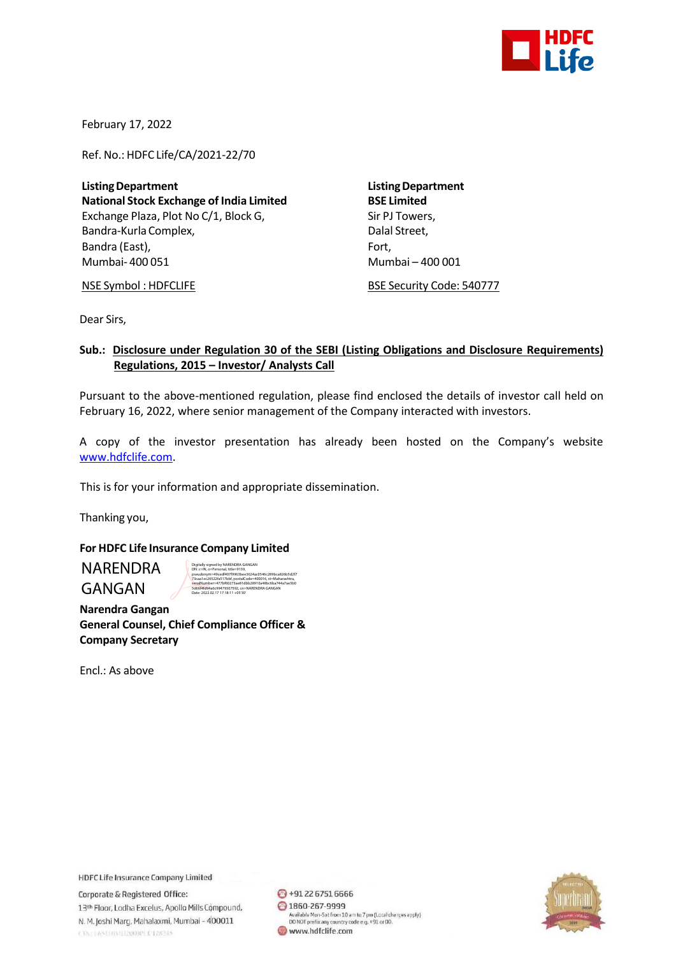

February 17, 2022

Ref. No.: HDFC Life/CA/2021-22/70

**ListingDepartment ListingDepartment National Stock Exchange of India Limited BSE Limited** Exchange Plaza, Plot No C/1, Block G, Sir PJ Towers, Bandra-Kurla Complex, and the complex of the Dalal Street, Bandra (East), Fort, Fort, Fort, Fort, Fort, Fort, Fort, Fort, Fort, Fort, Fort, Fort, Fort, Fort, Fort, Fort, Mumbai- 400 051 Mumbai – 400 001

NSE Symbol : HDFCLIFE BSE Security Code: 540777

Dear Sirs,

## **Sub.: Disclosure under Regulation 30 of the SEBI (Listing Obligations and Disclosure Requirements) Regulations, 2015 – Investor/ Analysts Call**

Pursuant to the above-mentioned regulation, please find enclosed the details of investor call held on February 16, 2022, where senior management of the Company interacted with investors.

A copy of the investor presentation has already been hosted on the Company's website [www.hdfclife.com.](http://www.hdfclife.com/)

This is for your information and appropriate dissemination.

Thanking you,

## **For HDFC Life Insurance Company Limited**

NARENDRA GANGAN

Digitally signed by NARENDRA GANGAN DN: c=IN, o=Personal, title=9139, pseudonym=49cedf407f9963bee3624ac0546c289bca826b5d2f7 73caa1ec26522fa517bbf, postalCode=400016, st=Maharashtra, serialNumber=477bf60273ae81dbb28910a48bc6ba744a7ae3b0 5d66f4fd94a6c99479307592, cn=NARENDRA GANGAN

Date: 2022.02.17 17:18:11 +05'30'

 **Narendra Gangan General Counsel, Chief Compliance Officer & Company Secretary**

Encl.: As above

**HDFC Life Insurance Company Limited** 

Corporate & Registered Office: 13th Floor, Lodha Excelus, Apollo Mills Compound, N. M. Joshi Marg, Mahalaxmi, Mumbai - 400011 CINTERSUM/H2000PLC128345